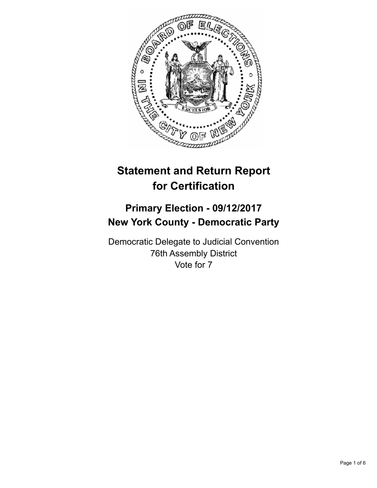

# **Statement and Return Report for Certification**

## **Primary Election - 09/12/2017 New York County - Democratic Party**

Democratic Delegate to Judicial Convention 76th Assembly District Vote for 7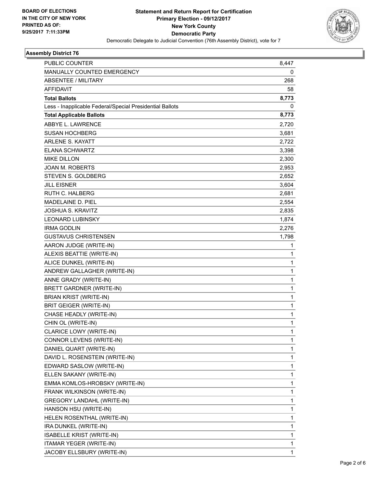

#### **Assembly District 76**

| PUBLIC COUNTER                                           | 8,447        |
|----------------------------------------------------------|--------------|
| MANUALLY COUNTED EMERGENCY                               | 0            |
| <b>ABSENTEE / MILITARY</b>                               | 268          |
| <b>AFFIDAVIT</b>                                         | 58           |
| <b>Total Ballots</b>                                     | 8,773        |
| Less - Inapplicable Federal/Special Presidential Ballots | 0            |
| <b>Total Applicable Ballots</b>                          | 8,773        |
| ABBYE L. LAWRENCE                                        | 2,720        |
| <b>SUSAN HOCHBERG</b>                                    | 3,681        |
| <b>ARLENE S. KAYATT</b>                                  | 2,722        |
| <b>ELANA SCHWARTZ</b>                                    | 3,398        |
| <b>MIKE DILLON</b>                                       | 2,300        |
| <b>JOAN M. ROBERTS</b>                                   | 2,953        |
| STEVEN S. GOLDBERG                                       | 2,652        |
| <b>JILL EISNER</b>                                       | 3,604        |
| <b>RUTH C. HALBERG</b>                                   | 2,681        |
| MADELAINE D. PIEL                                        | 2,554        |
| <b>JOSHUA S. KRAVITZ</b>                                 | 2,835        |
| <b>LEONARD LUBINSKY</b>                                  | 1,874        |
| <b>IRMA GODLIN</b>                                       | 2,276        |
| GUSTAVUS CHRISTENSEN                                     | 1,798        |
| AARON JUDGE (WRITE-IN)                                   | 1            |
| ALEXIS BEATTIE (WRITE-IN)                                | 1            |
| ALICE DUNKEL (WRITE-IN)                                  | $\mathbf{1}$ |
| ANDREW GALLAGHER (WRITE-IN)                              | 1            |
| ANNE GRADY (WRITE-IN)                                    | 1            |
| BRETT GARDNER (WRITE-IN)                                 | 1            |
| <b>BRIAN KRIST (WRITE-IN)</b>                            | 1            |
| <b>BRIT GEIGER (WRITE-IN)</b>                            | 1            |
| CHASE HEADLY (WRITE-IN)                                  | 1            |
| CHIN OL (WRITE-IN)                                       | 1            |
| CLARICE LOWY (WRITE-IN)                                  | 1            |
| CONNOR LEVENS (WRITE-IN)                                 | 1            |
| DANIEL QUART (WRITE-IN)                                  | 1            |
| DAVID L. ROSENSTEIN (WRITE-IN)                           | 1            |
| EDWARD SASLOW (WRITE-IN)                                 | 1            |
| ELLEN SAKANY (WRITE-IN)                                  | 1            |
| EMMA KOMLOS-HROBSKY (WRITE-IN)                           | 1            |
| FRANK WILKINSON (WRITE-IN)                               | 1            |
| <b>GREGORY LANDAHL (WRITE-IN)</b>                        | 1            |
| HANSON HSU (WRITE-IN)                                    | 1            |
| HELEN ROSENTHAL (WRITE-IN)                               | 1            |
| IRA DUNKEL (WRITE-IN)                                    | 1            |
| <b>ISABELLE KRIST (WRITE-IN)</b>                         | 1            |
| ITAMAR YEGER (WRITE-IN)                                  | 1            |
| JACOBY ELLSBURY (WRITE-IN)                               | 1            |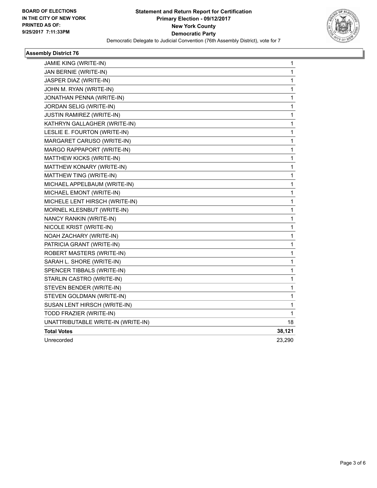

#### **Assembly District 76**

| JAMIE KING (WRITE-IN)              | 1            |
|------------------------------------|--------------|
| JAN BERNIE (WRITE-IN)              | 1            |
| JASPER DIAZ (WRITE-IN)             | 1            |
| JOHN M. RYAN (WRITE-IN)            | 1            |
| JONATHAN PENNA (WRITE-IN)          | 1            |
| JORDAN SELIG (WRITE-IN)            | 1            |
| <b>JUSTIN RAMIREZ (WRITE-IN)</b>   | 1            |
| KATHRYN GALLAGHER (WRITE-IN)       | 1            |
| LESLIE E. FOURTON (WRITE-IN)       | 1            |
| MARGARET CARUSO (WRITE-IN)         | 1            |
| MARGO RAPPAPORT (WRITE-IN)         | 1            |
| MATTHEW KICKS (WRITE-IN)           | 1            |
| MATTHEW KONARY (WRITE-IN)          | 1            |
| MATTHEW TING (WRITE-IN)            | 1            |
| MICHAEL APPELBAUM (WRITE-IN)       | 1            |
| MICHAEL EMONT (WRITE-IN)           | 1            |
| MICHELE LENT HIRSCH (WRITE-IN)     | 1            |
| MORNEL KLESNBUT (WRITE-IN)         | 1            |
| NANCY RANKIN (WRITE-IN)            | 1            |
| NICOLE KRIST (WRITE-IN)            | 1            |
| NOAH ZACHARY (WRITE-IN)            | 1            |
| PATRICIA GRANT (WRITE-IN)          | 1            |
| ROBERT MASTERS (WRITE-IN)          | 1            |
| SARAH L. SHORE (WRITE-IN)          | 1            |
| SPENCER TIBBALS (WRITE-IN)         | 1            |
| STARLIN CASTRO (WRITE-IN)          | 1            |
| STEVEN BENDER (WRITE-IN)           | 1            |
| STEVEN GOLDMAN (WRITE-IN)          | $\mathbf{1}$ |
| SUSAN LENT HIRSCH (WRITE-IN)       | 1            |
| TODD FRAZIER (WRITE-IN)            | 1            |
| UNATTRIBUTABLE WRITE-IN (WRITE-IN) | 18           |
| <b>Total Votes</b>                 | 38,121       |
| Unrecorded                         | 23,290       |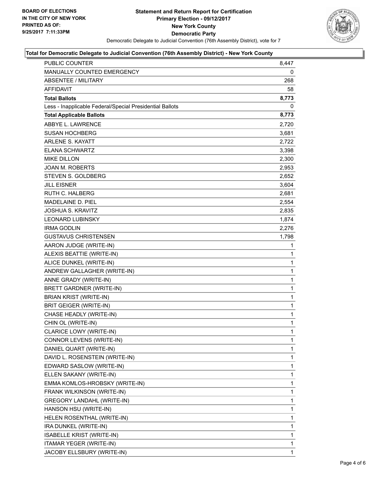

#### **Total for Democratic Delegate to Judicial Convention (76th Assembly District) - New York County**

| <b>PUBLIC COUNTER</b>                                    | 8,447        |
|----------------------------------------------------------|--------------|
| MANUALLY COUNTED EMERGENCY                               | 0            |
| ABSENTEE / MILITARY                                      | 268          |
| AFFIDAVIT                                                | 58           |
| <b>Total Ballots</b>                                     | 8,773        |
| Less - Inapplicable Federal/Special Presidential Ballots | 0            |
| <b>Total Applicable Ballots</b>                          | 8,773        |
| ABBYE L. LAWRENCE                                        | 2.720        |
| <b>SUSAN HOCHBERG</b>                                    | 3,681        |
| <b>ARLENE S. KAYATT</b>                                  | 2,722        |
| <b>ELANA SCHWARTZ</b>                                    | 3,398        |
| <b>MIKE DILLON</b>                                       | 2,300        |
| <b>JOAN M. ROBERTS</b>                                   | 2,953        |
| STEVEN S. GOLDBERG                                       | 2,652        |
| JILL EISNER                                              | 3,604        |
| <b>RUTH C. HALBERG</b>                                   | 2,681        |
| MADELAINE D. PIEL                                        | 2,554        |
| <b>JOSHUA S. KRAVITZ</b>                                 | 2,835        |
| LEONARD LUBINSKY                                         | 1,874        |
| <b>IRMA GODLIN</b>                                       | 2,276        |
| <b>GUSTAVUS CHRISTENSEN</b>                              | 1,798        |
| AARON JUDGE (WRITE-IN)                                   | 1            |
| ALEXIS BEATTIE (WRITE-IN)                                | 1            |
| ALICE DUNKEL (WRITE-IN)                                  | $\mathbf{1}$ |
| ANDREW GALLAGHER (WRITE-IN)                              | 1            |
| ANNE GRADY (WRITE-IN)                                    | $\mathbf 1$  |
| BRETT GARDNER (WRITE-IN)                                 | $\mathbf{1}$ |
| <b>BRIAN KRIST (WRITE-IN)</b>                            | $\mathbf 1$  |
| BRIT GEIGER (WRITE-IN)                                   | $\mathbf 1$  |
| CHASE HEADLY (WRITE-IN)                                  | 1            |
| CHIN OL (WRITE-IN)                                       | 1            |
| <b>CLARICE LOWY (WRITE-IN)</b>                           | 1            |
| CONNOR LEVENS (WRITE-IN)                                 | 1            |
| DANIEL QUART (WRITE-IN)                                  | 1            |
| DAVID L. ROSENSTEIN (WRITE-IN)                           | 1            |
| EDWARD SASLOW (WRITE-IN)                                 | 1            |
| ELLEN SAKANY (WRITE-IN)                                  | 1            |
| EMMA KOMLOS-HROBSKY (WRITE-IN)                           | 1            |
| FRANK WILKINSON (WRITE-IN)                               | 1            |
| <b>GREGORY LANDAHL (WRITE-IN)</b>                        | 1            |
| HANSON HSU (WRITE-IN)                                    | 1            |
| HELEN ROSENTHAL (WRITE-IN)                               | 1            |
| IRA DUNKEL (WRITE-IN)                                    | 1            |
| <b>ISABELLE KRIST (WRITE-IN)</b>                         | 1            |
| ITAMAR YEGER (WRITE-IN)                                  | $\mathbf{1}$ |
| JACOBY ELLSBURY (WRITE-IN)                               | 1            |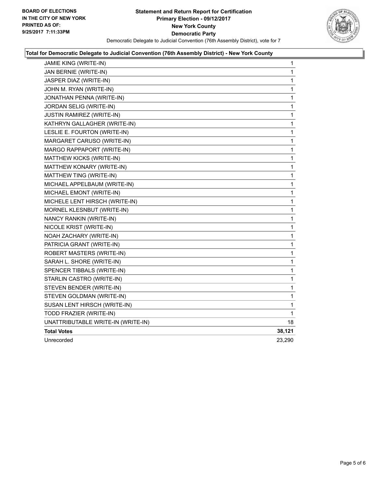

#### **Total for Democratic Delegate to Judicial Convention (76th Assembly District) - New York County**

| <b>JAMIE KING (WRITE-IN)</b>       | 1            |
|------------------------------------|--------------|
| JAN BERNIE (WRITE-IN)              | 1            |
| JASPER DIAZ (WRITE-IN)             | 1            |
| JOHN M. RYAN (WRITE-IN)            | 1            |
| JONATHAN PENNA (WRITE-IN)          | 1            |
| JORDAN SELIG (WRITE-IN)            | 1            |
| <b>JUSTIN RAMIREZ (WRITE-IN)</b>   | 1            |
| KATHRYN GALLAGHER (WRITE-IN)       | 1            |
| LESLIE E. FOURTON (WRITE-IN)       | 1            |
| MARGARET CARUSO (WRITE-IN)         | 1            |
| MARGO RAPPAPORT (WRITE-IN)         | $\mathbf{1}$ |
| MATTHEW KICKS (WRITE-IN)           | 1            |
| MATTHEW KONARY (WRITE-IN)          | 1            |
| MATTHEW TING (WRITE-IN)            | 1            |
| MICHAEL APPELBAUM (WRITE-IN)       | 1            |
| MICHAEL EMONT (WRITE-IN)           | 1            |
| MICHELE LENT HIRSCH (WRITE-IN)     | 1            |
| MORNEL KLESNBUT (WRITE-IN)         | 1            |
| NANCY RANKIN (WRITE-IN)            | 1            |
| NICOLE KRIST (WRITE-IN)            | 1            |
| NOAH ZACHARY (WRITE-IN)            | 1            |
| PATRICIA GRANT (WRITE-IN)          | 1            |
| ROBERT MASTERS (WRITE-IN)          | 1            |
| SARAH L. SHORE (WRITE-IN)          | 1            |
| SPENCER TIBBALS (WRITE-IN)         | 1            |
| STARLIN CASTRO (WRITE-IN)          | 1            |
| STEVEN BENDER (WRITE-IN)           | 1            |
| STEVEN GOLDMAN (WRITE-IN)          | 1            |
| SUSAN LENT HIRSCH (WRITE-IN)       | 1            |
| TODD FRAZIER (WRITE-IN)            | 1            |
| UNATTRIBUTABLE WRITE-IN (WRITE-IN) | 18           |
| <b>Total Votes</b>                 | 38,121       |
| Unrecorded                         | 23,290       |